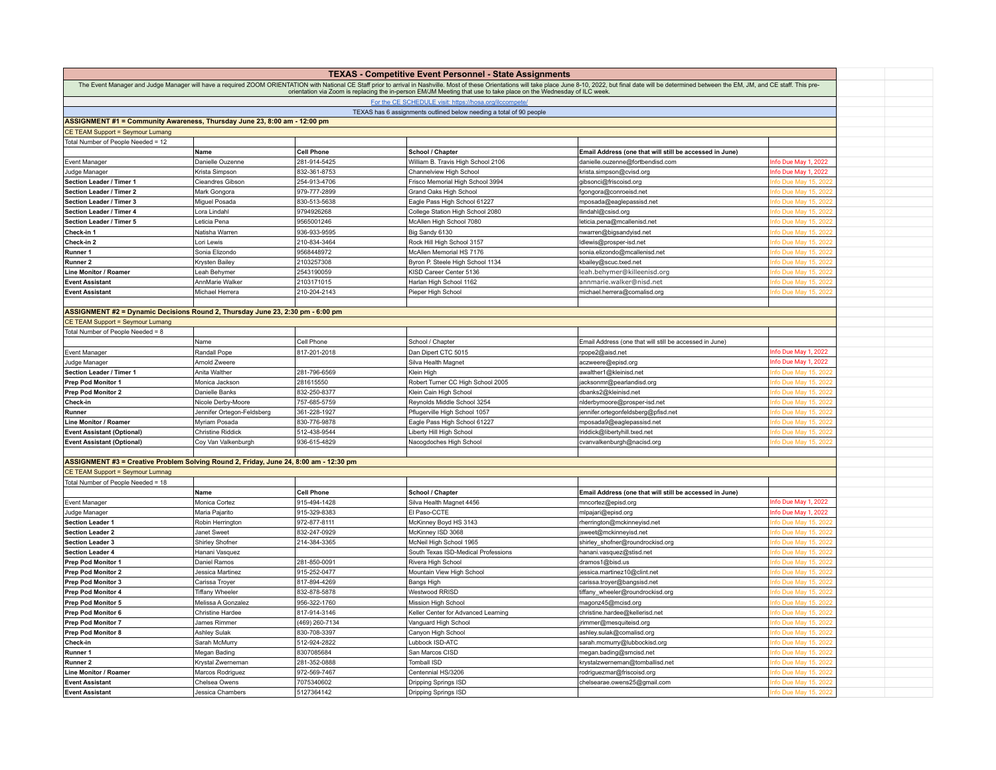|                                                                                                               |                                                  |                              | <b>TEXAS - Competitive Event Personnel - State Assignments</b>                                                     |                                                                                                                                                                                                                               |                                             |  |
|---------------------------------------------------------------------------------------------------------------|--------------------------------------------------|------------------------------|--------------------------------------------------------------------------------------------------------------------|-------------------------------------------------------------------------------------------------------------------------------------------------------------------------------------------------------------------------------|---------------------------------------------|--|
|                                                                                                               |                                                  |                              |                                                                                                                    | The Event Manager and Judge Manager will have a required ZOOM ORIENTATION with National CE Staff prior to arrival in Nashville. Most of these Orientations will take place June 8-10, 2022, but final date will be determined |                                             |  |
|                                                                                                               |                                                  |                              | orientation via Zoom is replacing the in-person EM/JM Meeting that use to take place on the Wednesday of ILC week. |                                                                                                                                                                                                                               |                                             |  |
|                                                                                                               |                                                  |                              | For the CE SCHEDULE visit: https://hosa.org/ilccompete                                                             |                                                                                                                                                                                                                               |                                             |  |
|                                                                                                               |                                                  |                              | TEXAS has 6 assignments outlined below needing a total of 90 people                                                |                                                                                                                                                                                                                               |                                             |  |
| ASSIGNMENT #1 = Community Awareness, Thursday June 23, 8:00 am - 12:00 pm<br>CE TEAM Support = Seymour Lumang |                                                  |                              |                                                                                                                    |                                                                                                                                                                                                                               |                                             |  |
| Total Number of People Needed = 12                                                                            |                                                  |                              |                                                                                                                    |                                                                                                                                                                                                                               |                                             |  |
|                                                                                                               | Name                                             | <b>Cell Phone</b>            | School / Chapter                                                                                                   | Email Address (one that will still be accessed in June)                                                                                                                                                                       |                                             |  |
| <b>Event Manager</b>                                                                                          | Danielle Ouzenne                                 | 281-914-5425                 | William B. Travis High School 2106                                                                                 | danielle.ouzenne@fortbendisd.com                                                                                                                                                                                              | nfo Due May 1, 2022                         |  |
| Judge Manager                                                                                                 | Krista Simpson                                   | 832-361-8753                 | Channelview High School                                                                                            | krista.simpson@cvisd.org                                                                                                                                                                                                      | nfo Due May 1, 2022                         |  |
| Section Leader / Timer 1                                                                                      | Cieandres Gibson                                 | 254-913-4706                 | Frisco Memorial High School 3994                                                                                   | gibsonci@friscoisd.org                                                                                                                                                                                                        | nfo Due May 15, 2022                        |  |
| Section Leader / Timer 2                                                                                      | Mark Gongora                                     | 979-777-2899                 | Grand Oaks High Schoo                                                                                              | fgongora@conroeisd.net                                                                                                                                                                                                        | fo Due May 15, 202                          |  |
| Section Leader / Timer 3                                                                                      | Miguel Posada                                    | 830-513-5638                 | Eagle Pass High School 61227                                                                                       | mposada@eaglepassisd.net                                                                                                                                                                                                      | fo Due May 15, 2022                         |  |
| Section Leader / Timer 4                                                                                      | Lora Lindahl                                     | 9794926268                   | College Station High School 2080                                                                                   | llindahl@csisd.org                                                                                                                                                                                                            | fo Due May 15, 2022                         |  |
| Section Leader / Timer 5                                                                                      | eticia Pena                                      | 9565001246                   | McAllen High School 7080                                                                                           | eticia.pena@mcallenisd.net                                                                                                                                                                                                    | fo Due May 15, 2022                         |  |
| Check-in 1                                                                                                    | Natisha Warren                                   | 936-933-9595                 | Big Sandy 6130                                                                                                     | nwarren@bigsandyisd.net                                                                                                                                                                                                       | ifo Due May 15, 2022                        |  |
| Check-in 2                                                                                                    | Lori Lewis                                       | 210-834-3464                 | Rock Hill High School 3157                                                                                         | Idlewis@prosper-isd.net                                                                                                                                                                                                       | fo Due May 15, 2022                         |  |
| Runner 1                                                                                                      | Sonia Elizondo                                   | 9568448972                   | McAllen Memorial HS 7176                                                                                           | sonia.elizondo@mcallenisd.net                                                                                                                                                                                                 | fo Due May 15, 2022                         |  |
| Runner 2                                                                                                      | Krysten Bailey                                   | 2103257308                   | Byron P. Steele High School 1134                                                                                   | kbailey@scuc.txed.net                                                                                                                                                                                                         | fo Due May 15, 2022                         |  |
| Line Monitor / Roamer                                                                                         | Leah Behymer                                     | 2543190059                   | KISD Career Center 5136                                                                                            | leah.behymer@killeenisd.org                                                                                                                                                                                                   | fo Due May 15, 2022                         |  |
| <b>Event Assistant</b>                                                                                        | AnnMarie Walker                                  | 2103171015                   | Harlan High School 1162                                                                                            | annmarie.walker@nisd.net                                                                                                                                                                                                      | fo Due May 15, 2022                         |  |
| <b>Event Assistant</b>                                                                                        | Michael Herrera                                  | 210-204-2143                 | Pieper High School                                                                                                 | michael.herrera@comalisd.org                                                                                                                                                                                                  | nfo Due May 15, 2022                        |  |
|                                                                                                               |                                                  |                              |                                                                                                                    |                                                                                                                                                                                                                               |                                             |  |
| ASSIGNMENT #2 = Dynamic Decisions Round 2, Thursday June 23, 2:30 pm - 6:00 pm                                |                                                  |                              |                                                                                                                    |                                                                                                                                                                                                                               |                                             |  |
| CE TEAM Support = Seymour Lumang                                                                              |                                                  |                              |                                                                                                                    |                                                                                                                                                                                                                               |                                             |  |
| Total Number of People Needed = 8                                                                             |                                                  |                              |                                                                                                                    |                                                                                                                                                                                                                               |                                             |  |
|                                                                                                               | Name                                             | Cell Phone                   | School / Chapter                                                                                                   | Email Address (one that will still be accessed in June)                                                                                                                                                                       |                                             |  |
| <b>Event Manager</b>                                                                                          | Randall Pope                                     | 817-201-2018                 | Dan Dipert CTC 5015                                                                                                | rpope2@aisd.net                                                                                                                                                                                                               | nfo Due May 1, 2022                         |  |
| Judge Manager                                                                                                 | Arnold Zweere                                    |                              | Silva Health Magnet                                                                                                | aczweere@episd.org                                                                                                                                                                                                            | nfo Due May 1, 2022                         |  |
| Section Leader / Timer 1                                                                                      | Anita Walther                                    | 281-796-6569                 | Klein High                                                                                                         | awalther1@kleinisd.net                                                                                                                                                                                                        | fo Due May 15, 202                          |  |
| Prep Pod Monitor 1                                                                                            | Monica Jackson                                   | 281615550                    | Robert Turner CC High School 2005                                                                                  | acksonmr@pearlandisd.org                                                                                                                                                                                                      | fo Due May 15, 2022                         |  |
| <b>Prep Pod Monitor 2</b>                                                                                     | Danielle Banks                                   | 832-250-8377                 | Klein Cain High School<br>Reynolds Middle School 3254                                                              | dbanks2@kleinisd.net                                                                                                                                                                                                          | fo Due May 15, 2022<br>nfo Due May 15, 2022 |  |
| Check-in<br>Runner                                                                                            | Nicole Derby-Moore<br>Jennifer Ortegon-Feldsberg | 757-685-5759<br>361-228-1927 | Pflugerville High School 1057                                                                                      | nlderbymoore@prosper-isd.net<br>ennifer.ortegonfeldsberg@pfisd.net                                                                                                                                                            | fo Due May 15, 2022                         |  |
| Line Monitor / Roamer                                                                                         | Myriam Posada                                    | 830-776-9878                 | Eagle Pass High School 61227                                                                                       | mposada9@eaglepassisd.net                                                                                                                                                                                                     | fo Due May 15, 2022                         |  |
| <b>Event Assistant (Optional)</b>                                                                             | <b>Christine Riddick</b>                         | 512-438-9544                 | Liberty Hill High School                                                                                           | Iriddick@libertyhill.txed.net                                                                                                                                                                                                 | fo Due May 15, 2022                         |  |
| <b>Event Assistant (Optional)</b>                                                                             | Coy Van Valkenburgh                              | 936-615-4829                 | Nacogdoches High School                                                                                            | cvanvalkenburgh@nacisd.org                                                                                                                                                                                                    | fo Due May 15, 2022                         |  |
|                                                                                                               |                                                  |                              |                                                                                                                    |                                                                                                                                                                                                                               |                                             |  |
| ASSIGNMENT #3 = Creative Problem Solving Round 2, Friday, June 24, 8:00 am - 12:30 pm                         |                                                  |                              |                                                                                                                    |                                                                                                                                                                                                                               |                                             |  |
| CE TEAM Support = Seymour Lumnag                                                                              |                                                  |                              |                                                                                                                    |                                                                                                                                                                                                                               |                                             |  |
| Total Number of People Needed = 18                                                                            |                                                  |                              |                                                                                                                    |                                                                                                                                                                                                                               |                                             |  |
|                                                                                                               | Name                                             | <b>Cell Phone</b>            | School / Chapter                                                                                                   | Email Address (one that will still be accessed in June)                                                                                                                                                                       |                                             |  |
| <b>Event Manager</b>                                                                                          | Monica Cortez                                    | 915-494-1428                 | Silva Health Magnet 4456                                                                                           | mncortez@episd.org                                                                                                                                                                                                            | Info Due May 1, 2022                        |  |
| Judge Manager                                                                                                 | Maria Pajarito                                   | 915-329-8383                 | El Paso-CCTE                                                                                                       | mlpajari@episd.org                                                                                                                                                                                                            | nfo Due May 1, 2022                         |  |
| <b>Section Leader 1</b>                                                                                       | Robin Herrington                                 | 972-877-8111                 | McKinney Boyd HS 3143                                                                                              | rherrington@mckinneyisd.net                                                                                                                                                                                                   | fo Due May 15, 2022                         |  |
| <b>Section Leader 2</b>                                                                                       | Janet Sweet                                      | 832-247-0929                 | McKinney ISD 3068                                                                                                  | sweet@mckinneyisd.net                                                                                                                                                                                                         | fo Due May 15, 2022                         |  |
| <b>Section Leader 3</b>                                                                                       | Shirley Shofner                                  | 214-384-3365                 | McNeil High School 1965                                                                                            | shirley_shofner@roundrockisd.org                                                                                                                                                                                              | fo Due May 15, 2022                         |  |
| <b>Section Leader 4</b>                                                                                       | Hanani Vasquez                                   |                              | South Texas ISD-Medical Professions                                                                                | hanani.vasquez@stisd.net                                                                                                                                                                                                      | fo Due May 15, 2022                         |  |
| <b>Prep Pod Monitor 1</b>                                                                                     | Daniel Ramos                                     | 281-850-0091                 | Rivera High School                                                                                                 | dramos1@bisd.us                                                                                                                                                                                                               | fo Due May 15, 2022                         |  |
| Prep Pod Monitor 2                                                                                            | Jessica Martinez                                 | 915-252-0477                 | Mountain View High School                                                                                          | essica.martinez10@clint.net                                                                                                                                                                                                   | fo Due May 15, 2022                         |  |
| Prep Pod Monitor 3                                                                                            | Carissa Troyer                                   | 817-894-4269                 | Bangs High                                                                                                         | carissa.troyer@bangsisd.net                                                                                                                                                                                                   | fo Due May 15, 2022                         |  |
| Prep Pod Monitor 4                                                                                            | <b>Tiffany Wheeler</b>                           | 832-878-5878                 | Westwood RRISD                                                                                                     | tiffany_wheeler@roundrockisd.org                                                                                                                                                                                              | fo Due May 15, 2022                         |  |
| Prep Pod Monitor 5                                                                                            | Melissa A Gonzalez                               | 956-322-1760                 | Mission High School                                                                                                | magonz45@mcisd.org                                                                                                                                                                                                            | fo Due May 15, 2022                         |  |
| Prep Pod Monitor 6                                                                                            | <b>Christine Hardee</b>                          | 817-914-3146                 | Keller Center for Advanced Learning                                                                                | christine.hardee@kellerisd.net                                                                                                                                                                                                | nfo Due May 15, 2022                        |  |
| Prep Pod Monitor 7                                                                                            | James Rimmer                                     | (469) 260-7134               | Vanguard High School                                                                                               | rimmer@mesquiteisd.org                                                                                                                                                                                                        | ifo Due May 15, 202                         |  |
| Prep Pod Monitor 8                                                                                            | Ashley Sulak                                     | 830-708-3397                 | Canyon High School                                                                                                 | ashley.sulak@comalisd.org                                                                                                                                                                                                     | fo Due May 15, 2022                         |  |
| Check-in                                                                                                      | Sarah McMurry                                    | 512-924-2822                 | Lubbock ISD-ATC                                                                                                    | sarah.mcmurry@lubbockisd.org                                                                                                                                                                                                  | fo Due May 15, 2022                         |  |
| Runner 1                                                                                                      | Megan Bading                                     | 8307085684                   | San Marcos CISD<br>Tomball ISD                                                                                     | negan.bading@smcisd.net                                                                                                                                                                                                       | fo Due May 15, 2022                         |  |
| Runner <sub>2</sub><br>Line Monitor / Roamer                                                                  | Krystal Zwerneman                                | 281-352-0888<br>972-569-7467 | Centennial HS/3206                                                                                                 | krystalzwerneman@tomballisd.net                                                                                                                                                                                               | fo Due May 15, 2022<br>ifo Due May 15, 2022 |  |
| <b>Event Assistant</b>                                                                                        | Marcos Rodriguez<br>Chelsea Owens                | 7075340602                   | Dripping Springs ISD                                                                                               | rodriguezmar@friscoisd.org<br>chelsearae.owens25@gmail.com                                                                                                                                                                    | fo Due May 15, 2022                         |  |
| <b>Event Assistant</b>                                                                                        | Jessica Chambers                                 | 5127364142                   | Dripping Springs ISD                                                                                               |                                                                                                                                                                                                                               | nfo Due May 15, 2022                        |  |
|                                                                                                               |                                                  |                              |                                                                                                                    |                                                                                                                                                                                                                               |                                             |  |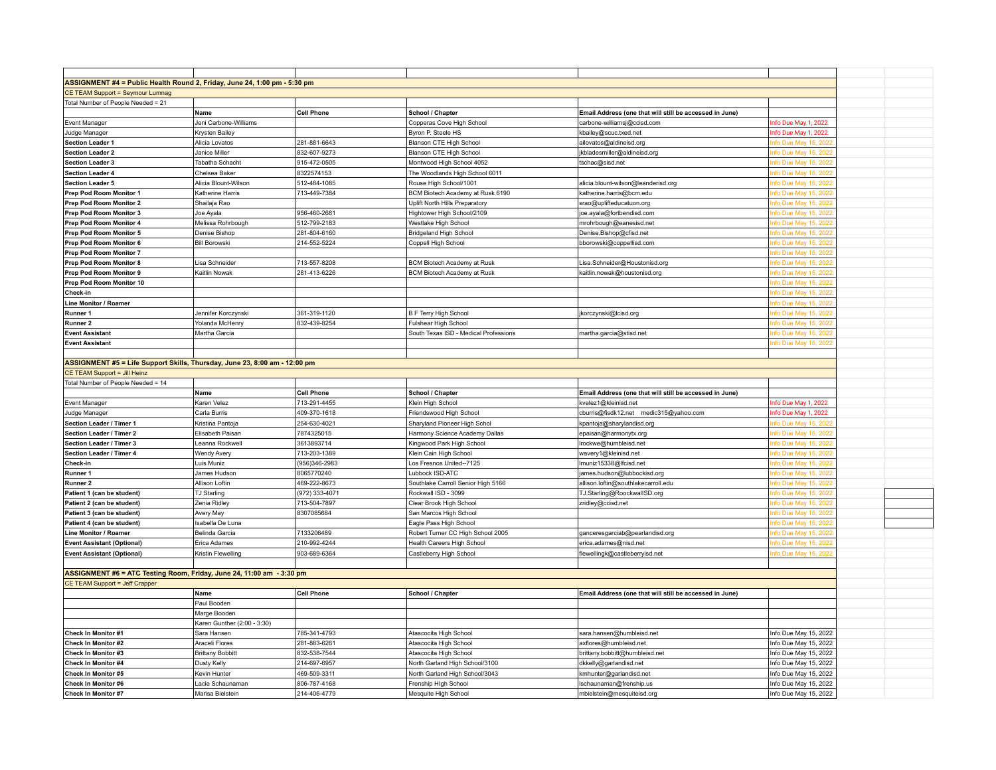| ASSIGNMENT #4 = Public Health Round 2, Friday, June 24, 1:00 pm - 5:30 pm                                                                                                                        |                                      |                              |                                              |                                                         |                                                |
|--------------------------------------------------------------------------------------------------------------------------------------------------------------------------------------------------|--------------------------------------|------------------------------|----------------------------------------------|---------------------------------------------------------|------------------------------------------------|
| CE TEAM Support = Seymour Lumnag                                                                                                                                                                 |                                      |                              |                                              |                                                         |                                                |
| Total Number of People Needed = 21                                                                                                                                                               |                                      |                              |                                              |                                                         |                                                |
|                                                                                                                                                                                                  |                                      |                              |                                              |                                                         |                                                |
|                                                                                                                                                                                                  | Name                                 | <b>Cell Phone</b>            | School / Chapter                             | Email Address (one that will still be accessed in June) |                                                |
| Event Manager                                                                                                                                                                                    | Jeni Carbone-Williams                |                              | Copperas Cove High School                    | carbone-williamsj@ccisd.com                             | Info Due May 1, 2022                           |
| Judge Manager                                                                                                                                                                                    | Krysten Bailey                       |                              | Byron P. Steele HS                           | kbailey@scuc.txed.net                                   | Info Due May 1, 2022                           |
| <b>Section Leader 1</b>                                                                                                                                                                          | Alicia Lovatos                       | 281-881-6643                 | Blanson CTE High School                      | ailovatos@aldineisd.org                                 | nfo Due May 15, 2022                           |
| <b>Section Leader 2</b>                                                                                                                                                                          | Janice Miller                        | 832-607-9273                 | Blanson CTE High School                      | jkbladesmiller@aldineisd.org                            | nfo Due May 15, 2022                           |
| <b>Section Leader 3</b>                                                                                                                                                                          | Tabatha Schacht                      | 915-472-0505                 | Montwood High School 4052                    | tschac@sisd.net                                         | fo Due May 15, 2022                            |
| <b>Section Leader 4</b>                                                                                                                                                                          | Chelsea Baker                        | 8322574153                   | The Woodlands High School 6011               |                                                         | nfo Due May 15, 2022                           |
| <b>Section Leader 5</b>                                                                                                                                                                          | Alicia Blount-Wilson                 | 512-484-1085                 | Rouse High School/1001                       | alicia.blount-wilson@leanderisd.org                     | nfo Due May 15, 2022                           |
| Prep Pod Room Monitor 1                                                                                                                                                                          | Katherine Harris                     | 713-449-7384                 | BCM Biotech Academy at Rusk 6190             | katherine.harris@bcm.edu                                | fo Due May 15, 2022                            |
| Prep Pod Room Monitor 2                                                                                                                                                                          | Shailaja Rao                         |                              | Uplift North Hills Preparatory               | srao@uplifteducatuon.org                                | nfo Due May 15, 2022                           |
| Prep Pod Room Monitor 3                                                                                                                                                                          | Joe Ayala                            | 956-460-2681                 | Hightower High School/2109                   | joe.ayala@fortbendisd.com                               | fo Due May 15, 2022                            |
| Prep Pod Room Monitor 4                                                                                                                                                                          | Melissa Rohrbough                    | 512-799-2183                 | Westlake High School                         | mrohrbough@eanesisd.net                                 | nfo Due May 15, 2022                           |
| Prep Pod Room Monitor 5                                                                                                                                                                          | Denise Bishop                        | 281-804-6160                 | Bridgeland High School                       | Denise.Bishop@cfisd.net                                 | nfo Due May 15, 2022                           |
| Prep Pod Room Monitor 6                                                                                                                                                                          | <b>Bill Borowski</b>                 | 214-552-5224                 | Coppell High School                          | bborowski@coppellisd.com                                | fo Due May 15, 2022                            |
|                                                                                                                                                                                                  |                                      |                              |                                              |                                                         |                                                |
| Prep Pod Room Monitor 7                                                                                                                                                                          |                                      |                              |                                              |                                                         | nfo Due May 15, 2022                           |
| Prep Pod Room Monitor 8                                                                                                                                                                          | Lisa Schneider                       | 713-557-8208                 | <b>BCM Biotech Academy at Rusk</b>           | Lisa.Schneider@Houstonisd.org                           | nfo Due May 15, 2022                           |
| Prep Pod Room Monitor 9                                                                                                                                                                          | Kaitlin Nowak                        | 281-413-6226                 | <b>BCM Biotech Academy at Rusk</b>           | kaitlin.nowak@houstonisd.org                            | fo Due May 15, 2022                            |
| Prep Pod Room Monitor 10                                                                                                                                                                         |                                      |                              |                                              |                                                         | nfo Due May 15, 2022                           |
| Check-in                                                                                                                                                                                         |                                      |                              |                                              |                                                         | fo Due May 15, 2022                            |
| Line Monitor / Roamer                                                                                                                                                                            |                                      |                              |                                              |                                                         | fo Due May 15, 2022                            |
| Runner 1                                                                                                                                                                                         | Jennifer Korczynski                  | 361-319-1120                 | B F Terry High School                        | jkorczynski@lcisd.org                                   | nfo Due May 15, 2022                           |
| Runner <sub>2</sub>                                                                                                                                                                              | Yolanda McHenry                      | 832-439-8254                 | Fulshear High School                         |                                                         | fo Due May 15, 2022                            |
| <b>Event Assistant</b>                                                                                                                                                                           | Martha Garcia                        |                              | South Texas ISD - Medical Professions        | martha.garcia@stisd.net                                 | nfo Due May 15, 2022                           |
| <b>Event Assistant</b>                                                                                                                                                                           |                                      |                              |                                              |                                                         | nfo Due May 15, 2022                           |
|                                                                                                                                                                                                  |                                      |                              |                                              |                                                         |                                                |
| ASSIGNMENT #5 = Life Support Skills, Thursday, June 23, 8:00 am - 12:00 pm                                                                                                                       |                                      |                              |                                              |                                                         |                                                |
| CE TEAM Support = Jill Heinz                                                                                                                                                                     |                                      |                              |                                              |                                                         |                                                |
|                                                                                                                                                                                                  |                                      |                              |                                              |                                                         |                                                |
|                                                                                                                                                                                                  |                                      |                              |                                              |                                                         |                                                |
|                                                                                                                                                                                                  |                                      |                              |                                              |                                                         |                                                |
|                                                                                                                                                                                                  | Name                                 | <b>Cell Phone</b>            | School / Chapter                             | Email Address (one that will still be accessed in June) |                                                |
|                                                                                                                                                                                                  | Karen Velez                          | 713-291-4455                 | Klein High School                            | kvelez1@kleinisd.net                                    | Info Due May 1, 2022                           |
|                                                                                                                                                                                                  | Carla Burris                         | 409-370-1618                 | Friendswood High School                      | cburris@fisdk12.net medic315@yahoo.com                  | Info Due May 1, 2022                           |
|                                                                                                                                                                                                  | Kristina Pantoja                     | 254-630-4021                 | Sharyland Pioneer High Schol                 | kpantoja@sharylandisd.org                               | ofo Due May 15, 2022                           |
|                                                                                                                                                                                                  | Elisabeth Paisan                     | 7874325015                   | Harmony Science Academy Dallas               | epaisan@harmonytx.org                                   | nfo Due May 15, 2022                           |
|                                                                                                                                                                                                  | Leanna Rockwell                      | 3613893714                   | Kingwood Park High School                    | Irockwe@humbleisd.net                                   | nfo Due May 15, 2022                           |
|                                                                                                                                                                                                  | Wendy Avery                          | 713-203-1389                 | Klein Cain High School                       | wavery1@kleinisd.net                                    | nfo Due May 15, 2022                           |
| Total Number of People Needed = 14<br>Event Manager<br>Judge Manager<br>Section Leader / Timer 1<br>Section Leader / Timer 2<br>Section Leader / Timer 3<br>Section Leader / Timer 4<br>Check-in | Luis Muniz                           | (956)346-2983                | Los Fresnos United--7125                     | Imuniz15338@lfcisd.net                                  | fo Due May 15, 2022                            |
| Runner 1                                                                                                                                                                                         | James Hudson                         | 8065770240                   | Lubbock ISD-ATC                              | james.hudson@lubbockisd.org                             | nfo Due May 15, 2022                           |
|                                                                                                                                                                                                  |                                      |                              |                                              |                                                         | nfo Due May 15, 2022                           |
|                                                                                                                                                                                                  | Allison Loftin                       | 469-222-8673                 | Southlake Carroll Senior High 5166           | allison.loftin@southlakecarroll.edu                     |                                                |
|                                                                                                                                                                                                  | TJ Starling                          | (972) 333-4071               | Rockwall ISD - 3099                          | TJ.Starling@RoockwallSD.org                             | fo Due May 15, 2022                            |
| Runner 2<br>Patient 1 (can be student)                                                                                                                                                           | Zenia Ridley                         | 713-504-7897                 | Clear Brook High School                      | zridley@ccisd.net                                       | nfo Due May 15, 2022                           |
|                                                                                                                                                                                                  | Avery May                            | 8307085684                   | San Marcos High School                       |                                                         | fo Due May 15, 2022                            |
| Patient 3 (can be student)                                                                                                                                                                       | Isabella De Luna                     |                              | Eagle Pass High School                       |                                                         | fo Due May 15, 2022                            |
|                                                                                                                                                                                                  | Belinda Garcia                       | 7133206489                   | Robert Turner CC High School 2005            | ganceresgarciab@pearlandisd.org                         | nfo Due May 15, 2022                           |
|                                                                                                                                                                                                  | Erica Adames                         | 210-992-4244                 | Health Careers High School                   | erica.adames@nisd.net                                   | fo Due May 15, 2022                            |
|                                                                                                                                                                                                  | Kristin Flewelling                   | 903-689-6364                 | Castleberry High School                      | flewellingk@castleberryisd.net                          | nfo Due May 15, 2022                           |
|                                                                                                                                                                                                  |                                      |                              |                                              |                                                         |                                                |
|                                                                                                                                                                                                  |                                      |                              |                                              |                                                         |                                                |
|                                                                                                                                                                                                  |                                      |                              |                                              |                                                         |                                                |
|                                                                                                                                                                                                  | Name                                 | Cell Phone                   | School / Chapter                             | Email Address (one that will still be accessed in June) |                                                |
|                                                                                                                                                                                                  | Paul Booden                          |                              |                                              |                                                         |                                                |
|                                                                                                                                                                                                  | Marge Booden                         |                              |                                              |                                                         |                                                |
|                                                                                                                                                                                                  |                                      |                              |                                              |                                                         |                                                |
|                                                                                                                                                                                                  | Karen Gunther (2:00 - 3:30)          |                              |                                              |                                                         |                                                |
| Patient 4 (can be student)<br>Line Monitor / Roamer<br><b>Event Assistant (Optional)</b><br><b>Event Assistant (Optional)</b><br>CE TEAM Support = Jeff Crapper<br>Check In Monitor #1           | Sara Hansen                          | 785-341-4793                 | Atascocita High School                       | sara.hansen@humbleisd.net                               | Info Due May 15, 2022                          |
| Check In Monitor #2                                                                                                                                                                              | Araceli Flores                       | 281-883-6261                 | Atascocita High School                       | axflores@humbleisd.net                                  | Info Due May 15, 2022                          |
| Patient 2 (can be student)<br>ASSIGNMENT #6 = ATC Testing Room, Friday, June 24, 11:00 am - 3:30 pm<br>Check In Monitor #3                                                                       | <b>Brittany Bobbitt</b>              | 832-538-7544                 | Atascocita High School                       | brittany.bobbitt@humbleisd.net                          | Info Due May 15, 2022                          |
| Check In Monitor #4                                                                                                                                                                              | Dusty Kelly                          | 214-697-6957                 | North Garland High School/3100               | dkkelly@garlandisd.net                                  | Info Due May 15, 2022                          |
| Check In Monitor #5                                                                                                                                                                              | Kevin Hunter                         | 469-509-3311                 | North Garland High School/3043               | kmhunter@garlandisd.net                                 | Info Due May 15, 2022                          |
| <b>Check In Monitor #6</b><br><b>Check In Monitor #7</b>                                                                                                                                         | Lacie Schaunaman<br>Marisa Bielstein | 806-787-4168<br>214-406-4779 | Frenship High School<br>Mesquite High School | Ischaunaman@frenship.us<br>mbielstein@mesquiteisd.org   | Info Due May 15, 2022<br>Info Due May 15, 2022 |